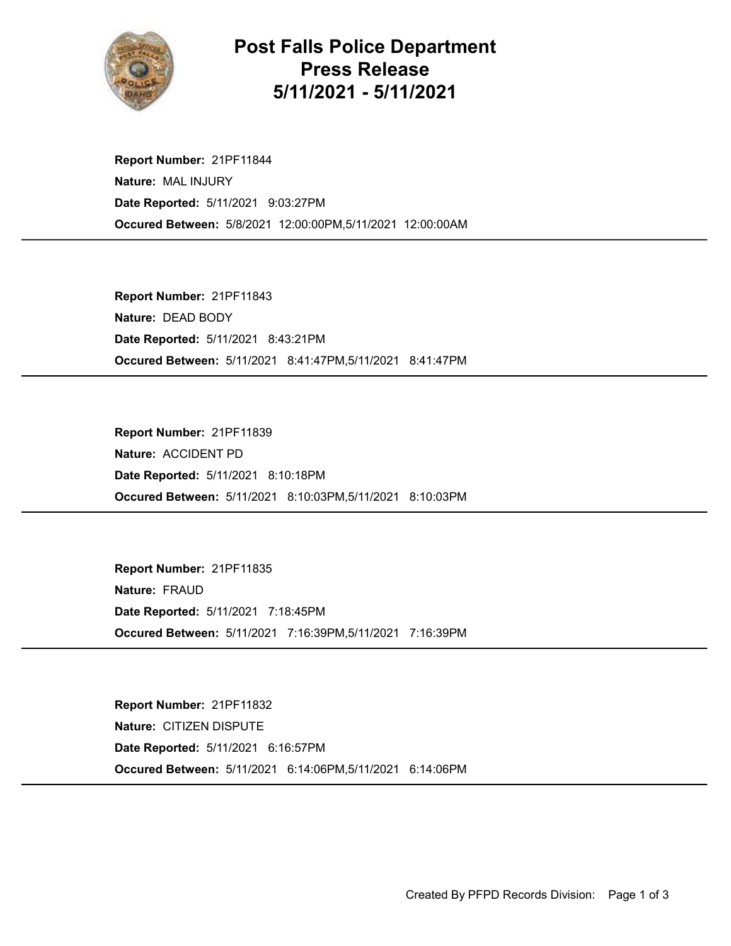

## Post Falls Police Department Press Release 5/11/2021 - 5/11/2021

Occured Between: 5/8/2021 12:00:00PM,5/11/2021 12:00:00AM Report Number: 21PF11844 Nature: MAL INJURY Date Reported: 5/11/2021 9:03:27PM

Occured Between: 5/11/2021 8:41:47PM,5/11/2021 8:41:47PM Report Number: 21PF11843 Nature: DEAD BODY Date Reported: 5/11/2021 8:43:21PM

Occured Between: 5/11/2021 8:10:03PM,5/11/2021 8:10:03PM Report Number: 21PF11839 Nature: ACCIDENT PD Date Reported: 5/11/2021 8:10:18PM

Occured Between: 5/11/2021 7:16:39PM,5/11/2021 7:16:39PM Report Number: 21PF11835 Nature: FRAUD Date Reported: 5/11/2021 7:18:45PM

Occured Between: 5/11/2021 6:14:06PM,5/11/2021 6:14:06PM Report Number: 21PF11832 Nature: CITIZEN DISPUTE Date Reported: 5/11/2021 6:16:57PM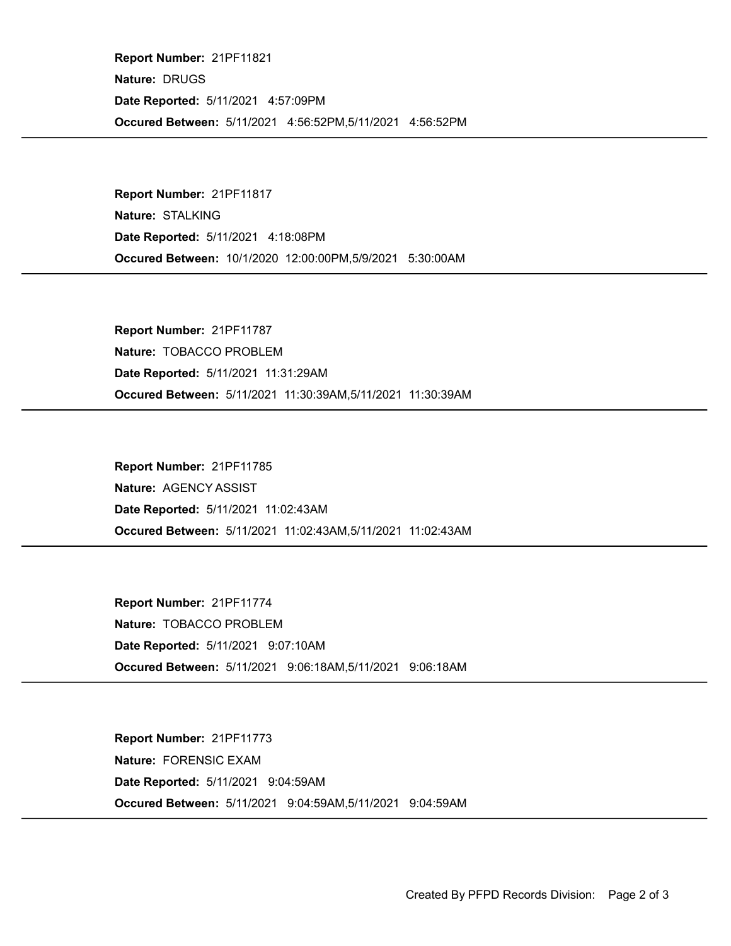Occured Between: 5/11/2021 4:56:52PM,5/11/2021 4:56:52PM Report Number: 21PF11821 Nature: DRUGS Date Reported: 5/11/2021 4:57:09PM

Occured Between: 10/1/2020 12:00:00PM,5/9/2021 5:30:00AM Report Number: 21PF11817 Nature: STALKING Date Reported: 5/11/2021 4:18:08PM

Occured Between: 5/11/2021 11:30:39AM,5/11/2021 11:30:39AM Report Number: 21PF11787 Nature: TOBACCO PROBLEM Date Reported: 5/11/2021 11:31:29AM

Occured Between: 5/11/2021 11:02:43AM,5/11/2021 11:02:43AM Report Number: 21PF11785 Nature: AGENCY ASSIST Date Reported: 5/11/2021 11:02:43AM

Occured Between: 5/11/2021 9:06:18AM,5/11/2021 9:06:18AM Report Number: 21PF11774 Nature: TOBACCO PROBLEM Date Reported: 5/11/2021 9:07:10AM

Occured Between: 5/11/2021 9:04:59AM,5/11/2021 9:04:59AM Report Number: 21PF11773 Nature: FORENSIC EXAM Date Reported: 5/11/2021 9:04:59AM